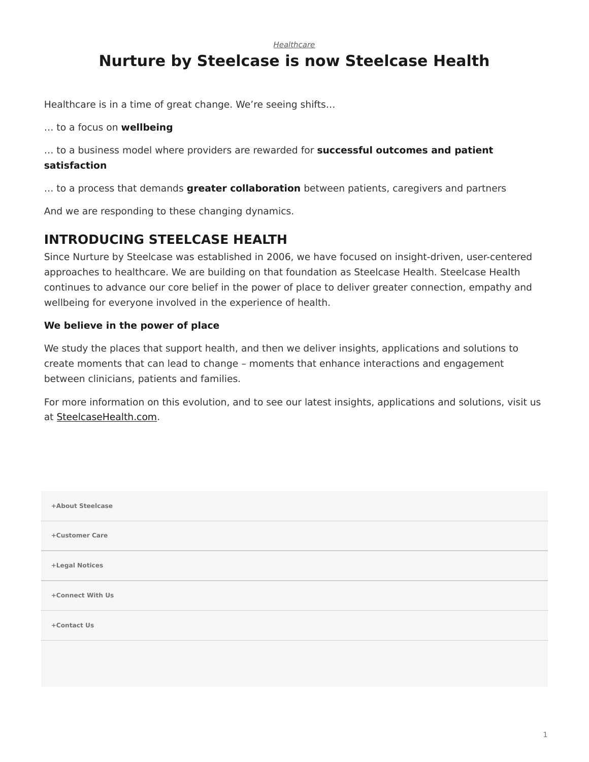*[Healthcare](https://www.steelcase.com/research/topics/healthcare/)*

## <span id="page-0-0"></span>**Nurture by Steelcase is now Steelcase Health**

Healthcare is in a time of great change. We're seeing shifts…

… to a focus on **wellbeing**

… to a business model where providers are rewarded for **successful outcomes and patient satisfaction**

… to a process that demands **greater collaboration** between patients, caregivers and partners

And we are responding to these changing dynamics.

## **INTRODUCING STEELCASE HEALTH**

Since Nurture by Steelcase was established in 2006, we have focused on insight-driven, user-centered approaches to healthcare. We are building on that foundation as Steelcase Health. Steelcase Health continues to advance our core belief in the power of place to deliver greater connection, empathy and wellbeing for everyone involved in the experience of health.

## **We believe in the power of place**

We study the places that support health, and then we deliver insights, applications and solutions to create moments that can lead to change – moments that enhance interactions and engagement between clinicians, patients and families.

For more information on this evolution, and to see our latest insights, applications and solutions, visit us at [SteelcaseHealth.com](http://www.steelcasehealth.com/).

| +About Steelcase |  |
|------------------|--|
| +Customer Care   |  |
| +Legal Notices   |  |
| +Connect With Us |  |
| +Contact Us      |  |
|                  |  |